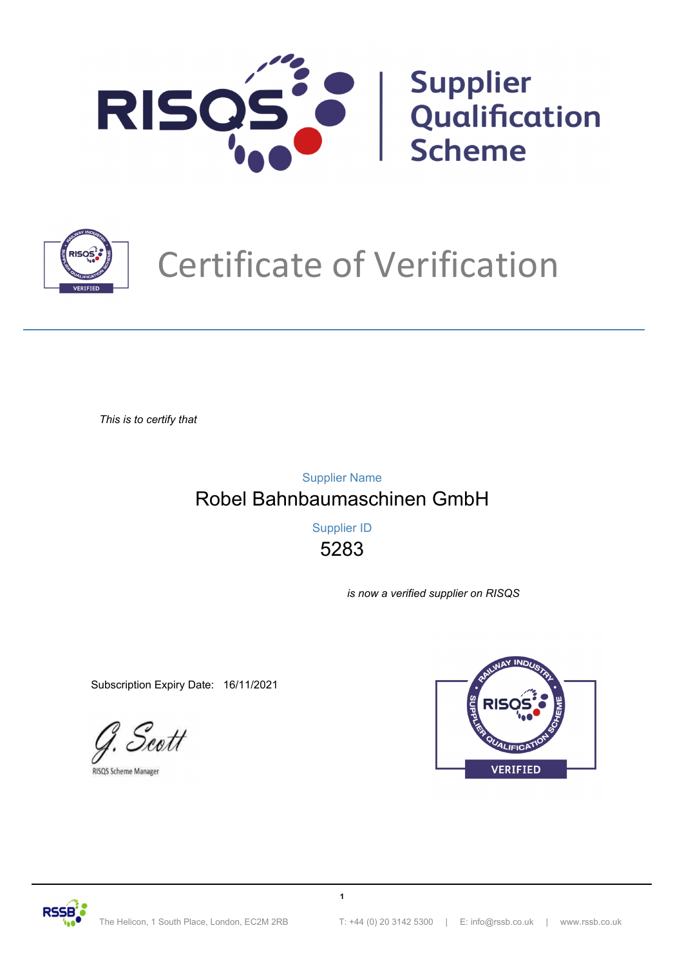



# Certificate of Verification

*This is to certify that*

Robel Bahnbaumaschinen GmbH Supplier Name

> 5283 Supplier ID

> > **1**

*is now a verified supplier on RISQS*

Subscription Expiry Date: 16/11/2021

Scott

**RISOS Scheme Manager** 



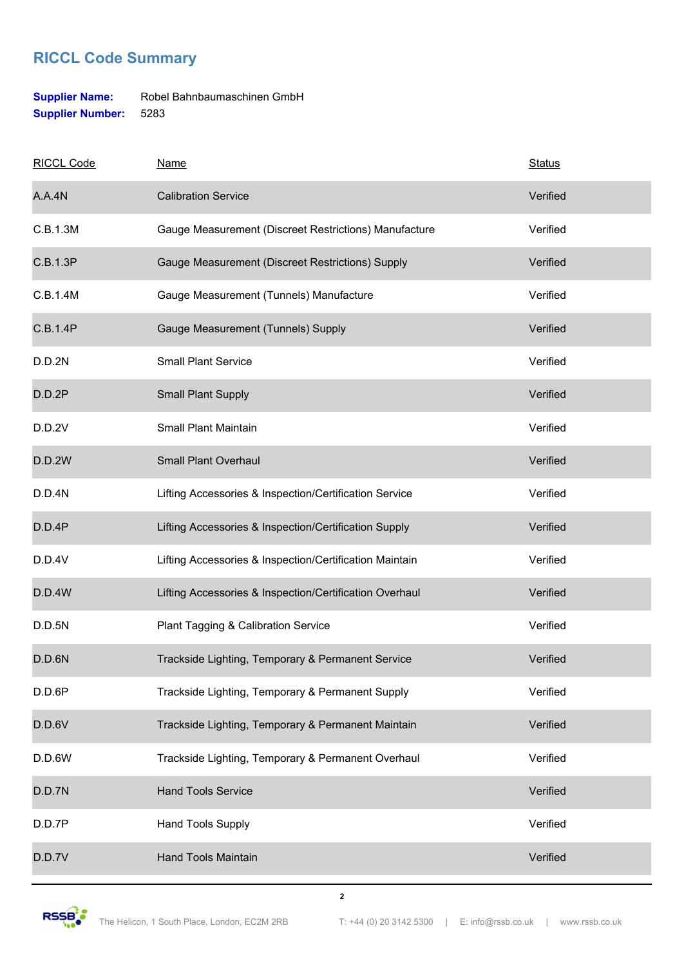### **Supplier Name:** Robel Bahnbaumaschinen GmbH **Supplier Number:** 5283

| <b>RICCL Code</b> | <b>Name</b>                                             | <b>Status</b> |
|-------------------|---------------------------------------------------------|---------------|
| A.A.4N            | <b>Calibration Service</b>                              | Verified      |
| C.B.1.3M          | Gauge Measurement (Discreet Restrictions) Manufacture   | Verified      |
| C.B.1.3P          | Gauge Measurement (Discreet Restrictions) Supply        | Verified      |
| C.B.1.4M          | Gauge Measurement (Tunnels) Manufacture                 | Verified      |
| C.B.1.4P          | Gauge Measurement (Tunnels) Supply                      | Verified      |
| D.D.2N            | <b>Small Plant Service</b>                              | Verified      |
| D.D.2P            | Small Plant Supply                                      | Verified      |
| D.D.2V            | Small Plant Maintain                                    | Verified      |
| <b>D.D.2W</b>     | <b>Small Plant Overhaul</b>                             | Verified      |
| D.D.4N            | Lifting Accessories & Inspection/Certification Service  | Verified      |
| D.D.4P            | Lifting Accessories & Inspection/Certification Supply   | Verified      |
| D.D.4V            | Lifting Accessories & Inspection/Certification Maintain | Verified      |
| <b>D.D.4W</b>     | Lifting Accessories & Inspection/Certification Overhaul | Verified      |
| D.D.5N            | Plant Tagging & Calibration Service                     | Verified      |
| D.D.6N            | Trackside Lighting, Temporary & Permanent Service       | Verified      |
| D.D.6P            | Trackside Lighting, Temporary & Permanent Supply        | Verified      |
| D.D.6V            | Trackside Lighting, Temporary & Permanent Maintain      | Verified      |
| D.D.6W            | Trackside Lighting, Temporary & Permanent Overhaul      | Verified      |
| D.D.7N            | <b>Hand Tools Service</b>                               | Verified      |
| D.D.7P            | Hand Tools Supply                                       | Verified      |
| D.D.7V            | <b>Hand Tools Maintain</b>                              | Verified      |



**2**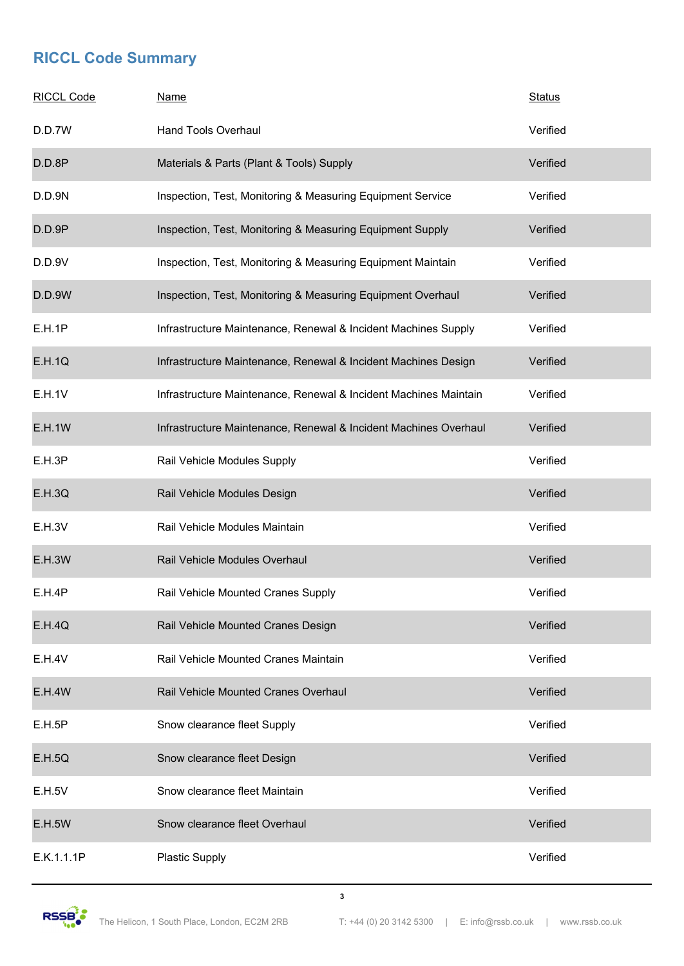| <b>RICCL Code</b> | <b>Name</b>                                                      | <b>Status</b> |
|-------------------|------------------------------------------------------------------|---------------|
| D.D.7W            | <b>Hand Tools Overhaul</b>                                       | Verified      |
| D.D.8P            | Materials & Parts (Plant & Tools) Supply                         | Verified      |
| D.D.9N            | Inspection, Test, Monitoring & Measuring Equipment Service       | Verified      |
| D.D.9P            | Inspection, Test, Monitoring & Measuring Equipment Supply        | Verified      |
| D.D.9V            | Inspection, Test, Monitoring & Measuring Equipment Maintain      | Verified      |
| <b>D.D.9W</b>     | Inspection, Test, Monitoring & Measuring Equipment Overhaul      | Verified      |
| E.H.1P            | Infrastructure Maintenance, Renewal & Incident Machines Supply   | Verified      |
| <b>E.H.1Q</b>     | Infrastructure Maintenance, Renewal & Incident Machines Design   | Verified      |
| E.H.1V            | Infrastructure Maintenance, Renewal & Incident Machines Maintain | Verified      |
| <b>E.H.1W</b>     | Infrastructure Maintenance, Renewal & Incident Machines Overhaul | Verified      |
| E.H.3P            | Rail Vehicle Modules Supply                                      | Verified      |
| E.H.3Q            | Rail Vehicle Modules Design                                      | Verified      |
| E.H.3V            | Rail Vehicle Modules Maintain                                    | Verified      |
| <b>E.H.3W</b>     | Rail Vehicle Modules Overhaul                                    | Verified      |
| E.H.4P            | Rail Vehicle Mounted Cranes Supply                               | Verified      |
| E.H.4Q            | Rail Vehicle Mounted Cranes Design                               | Verified      |
| <b>E.H.4V</b>     | Rail Vehicle Mounted Cranes Maintain                             | Verified      |
| <b>E.H.4W</b>     | Rail Vehicle Mounted Cranes Overhaul                             | Verified      |
| E.H.5P            | Snow clearance fleet Supply                                      | Verified      |
| E.H.5Q            | Snow clearance fleet Design                                      | Verified      |
| E.H.5V            | Snow clearance fleet Maintain                                    | Verified      |
| <b>E.H.5W</b>     | Snow clearance fleet Overhaul                                    | Verified      |
| E.K.1.1.1P        | <b>Plastic Supply</b>                                            | Verified      |

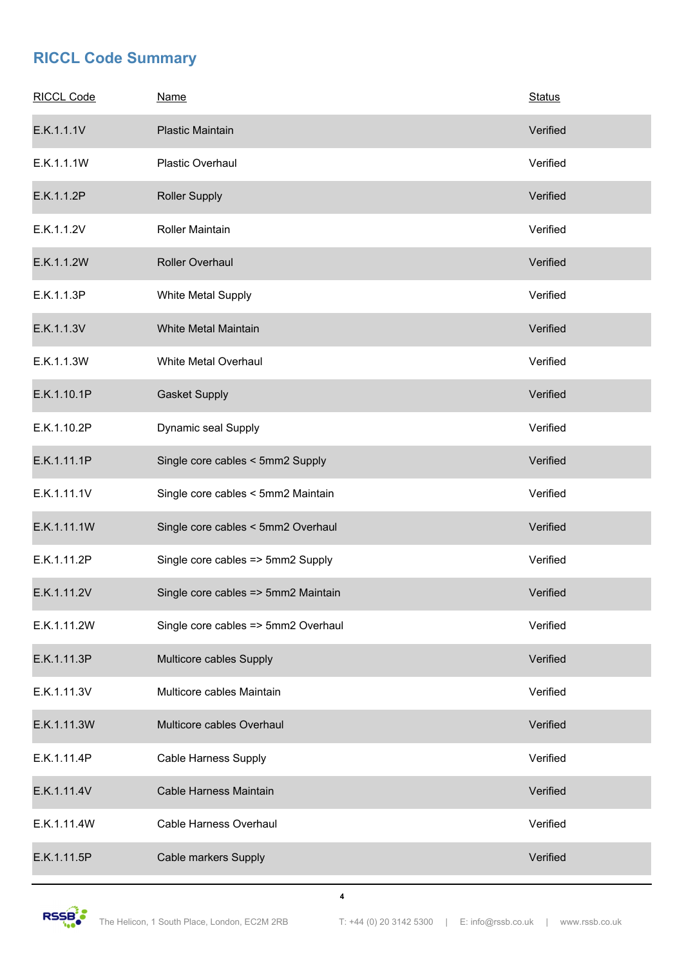| <b>RICCL Code</b> | <b>Name</b>                         | <b>Status</b> |
|-------------------|-------------------------------------|---------------|
| E.K.1.1.1V        | <b>Plastic Maintain</b>             | Verified      |
| E.K.1.1.1W        | Plastic Overhaul                    | Verified      |
| E.K.1.1.2P        | <b>Roller Supply</b>                | Verified      |
| E.K.1.1.2V        | Roller Maintain                     | Verified      |
| E.K.1.1.2W        | Roller Overhaul                     | Verified      |
| E.K.1.1.3P        | White Metal Supply                  | Verified      |
| E.K.1.1.3V        | White Metal Maintain                | Verified      |
| E.K.1.1.3W        | White Metal Overhaul                | Verified      |
| E.K.1.10.1P       | <b>Gasket Supply</b>                | Verified      |
| E.K.1.10.2P       | Dynamic seal Supply                 | Verified      |
| E.K.1.11.1P       | Single core cables < 5mm2 Supply    | Verified      |
| E.K.1.11.1V       | Single core cables < 5mm2 Maintain  | Verified      |
| E.K.1.11.1W       | Single core cables < 5mm2 Overhaul  | Verified      |
| E.K.1.11.2P       | Single core cables => 5mm2 Supply   | Verified      |
| E.K.1.11.2V       | Single core cables => 5mm2 Maintain | Verified      |
| E.K.1.11.2W       | Single core cables => 5mm2 Overhaul | Verified      |
| E.K.1.11.3P       | Multicore cables Supply             | Verified      |
| E.K.1.11.3V       | Multicore cables Maintain           | Verified      |
| E.K.1.11.3W       | Multicore cables Overhaul           | Verified      |
| E.K.1.11.4P       | Cable Harness Supply                | Verified      |
| E.K.1.11.4V       | <b>Cable Harness Maintain</b>       | Verified      |
| E.K.1.11.4W       | Cable Harness Overhaul              | Verified      |
| E.K.1.11.5P       | Cable markers Supply                | Verified      |

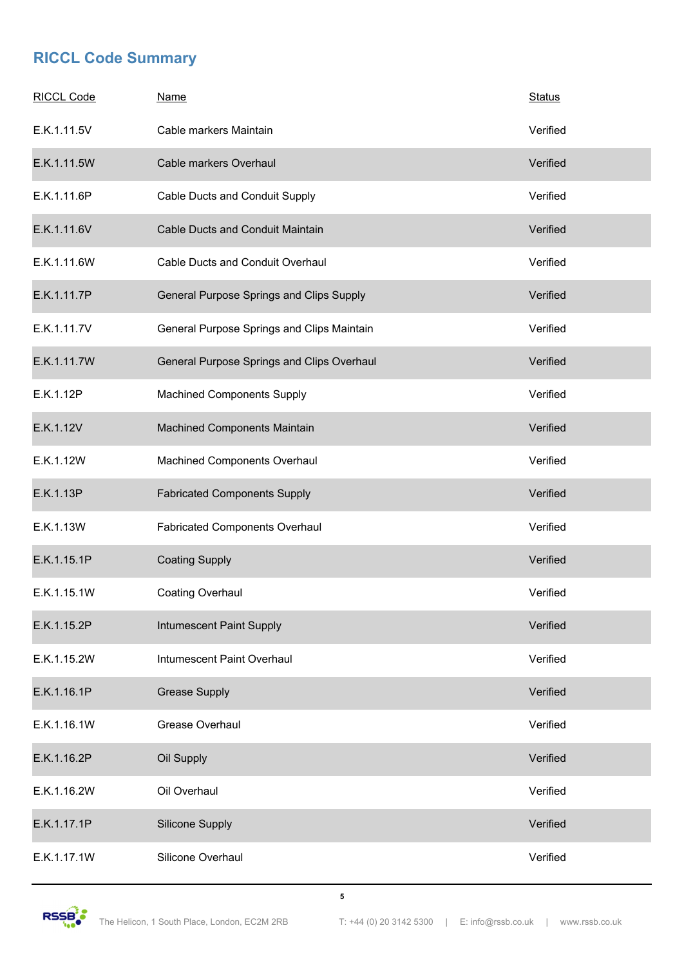| <b>RICCL Code</b> | <b>Name</b>                                | <b>Status</b> |
|-------------------|--------------------------------------------|---------------|
| E.K.1.11.5V       | Cable markers Maintain                     | Verified      |
| E.K.1.11.5W       | Cable markers Overhaul                     | Verified      |
| E.K.1.11.6P       | Cable Ducts and Conduit Supply             | Verified      |
| E.K.1.11.6V       | Cable Ducts and Conduit Maintain           | Verified      |
| E.K.1.11.6W       | Cable Ducts and Conduit Overhaul           | Verified      |
| E.K.1.11.7P       | General Purpose Springs and Clips Supply   | Verified      |
| E.K.1.11.7V       | General Purpose Springs and Clips Maintain | Verified      |
| E.K.1.11.7W       | General Purpose Springs and Clips Overhaul | Verified      |
| E.K.1.12P         | <b>Machined Components Supply</b>          | Verified      |
| E.K.1.12V         | Machined Components Maintain               | Verified      |
| E.K.1.12W         | Machined Components Overhaul               | Verified      |
| E.K.1.13P         | <b>Fabricated Components Supply</b>        | Verified      |
| E.K.1.13W         | <b>Fabricated Components Overhaul</b>      | Verified      |
| E.K.1.15.1P       | <b>Coating Supply</b>                      | Verified      |
| E.K.1.15.1W       | Coating Overhaul                           | Verified      |
| E.K.1.15.2P       | Intumescent Paint Supply                   | Verified      |
| E.K.1.15.2W       | Intumescent Paint Overhaul                 | Verified      |
| E.K.1.16.1P       | <b>Grease Supply</b>                       | Verified      |
| E.K.1.16.1W       | Grease Overhaul                            | Verified      |
| E.K.1.16.2P       | Oil Supply                                 | Verified      |
| E.K.1.16.2W       | Oil Overhaul                               | Verified      |
| E.K.1.17.1P       | Silicone Supply                            | Verified      |
| E.K.1.17.1W       | Silicone Overhaul                          | Verified      |

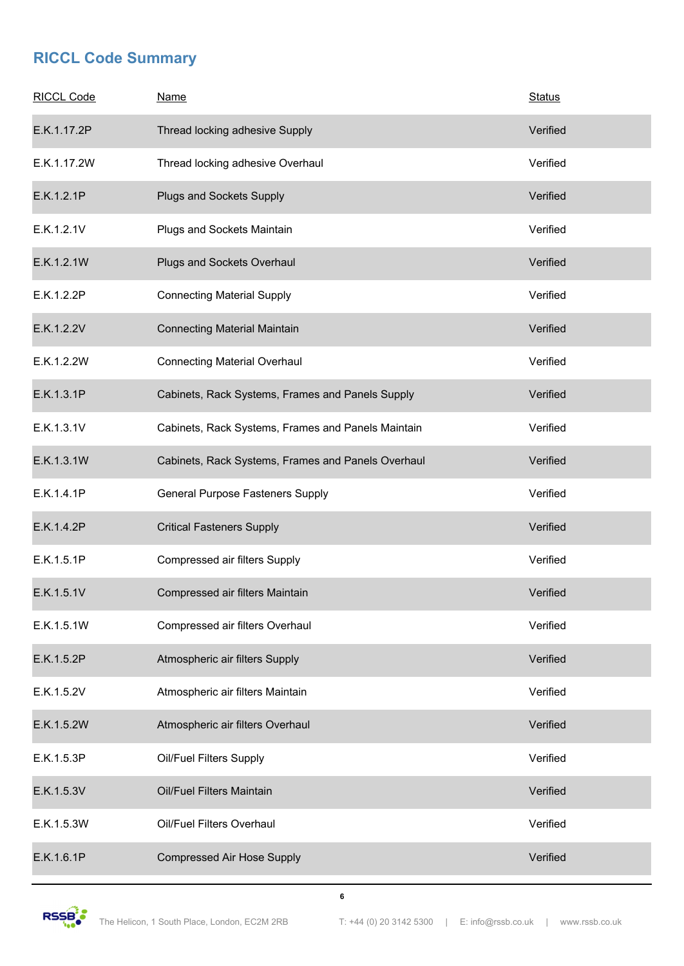| <b>RICCL Code</b> | <b>Name</b>                                        | <b>Status</b> |
|-------------------|----------------------------------------------------|---------------|
| E.K.1.17.2P       | Thread locking adhesive Supply                     | Verified      |
| E.K.1.17.2W       | Thread locking adhesive Overhaul                   | Verified      |
| E.K.1.2.1P        | Plugs and Sockets Supply                           | Verified      |
| E.K.1.2.1V        | Plugs and Sockets Maintain                         | Verified      |
| E.K.1.2.1W        | Plugs and Sockets Overhaul                         | Verified      |
| E.K.1.2.2P        | <b>Connecting Material Supply</b>                  | Verified      |
| E.K.1.2.2V        | <b>Connecting Material Maintain</b>                | Verified      |
| E.K.1.2.2W        | <b>Connecting Material Overhaul</b>                | Verified      |
| E.K.1.3.1P        | Cabinets, Rack Systems, Frames and Panels Supply   | Verified      |
| E.K.1.3.1V        | Cabinets, Rack Systems, Frames and Panels Maintain | Verified      |
| E.K.1.3.1W        | Cabinets, Rack Systems, Frames and Panels Overhaul | Verified      |
| E.K.1.4.1P        | General Purpose Fasteners Supply                   | Verified      |
| E.K.1.4.2P        | <b>Critical Fasteners Supply</b>                   | Verified      |
| E.K.1.5.1P        | Compressed air filters Supply                      | Verified      |
| E.K.1.5.1V        | Compressed air filters Maintain                    | Verified      |
| E.K.1.5.1W        | Compressed air filters Overhaul                    | Verified      |
| E.K.1.5.2P        | Atmospheric air filters Supply                     | Verified      |
| E.K.1.5.2V        | Atmospheric air filters Maintain                   | Verified      |
| E.K.1.5.2W        | Atmospheric air filters Overhaul                   | Verified      |
| E.K.1.5.3P        | Oil/Fuel Filters Supply                            | Verified      |
| E.K.1.5.3V        | Oil/Fuel Filters Maintain                          | Verified      |
| E.K.1.5.3W        | Oil/Fuel Filters Overhaul                          | Verified      |
| E.K.1.6.1P        | <b>Compressed Air Hose Supply</b>                  | Verified      |

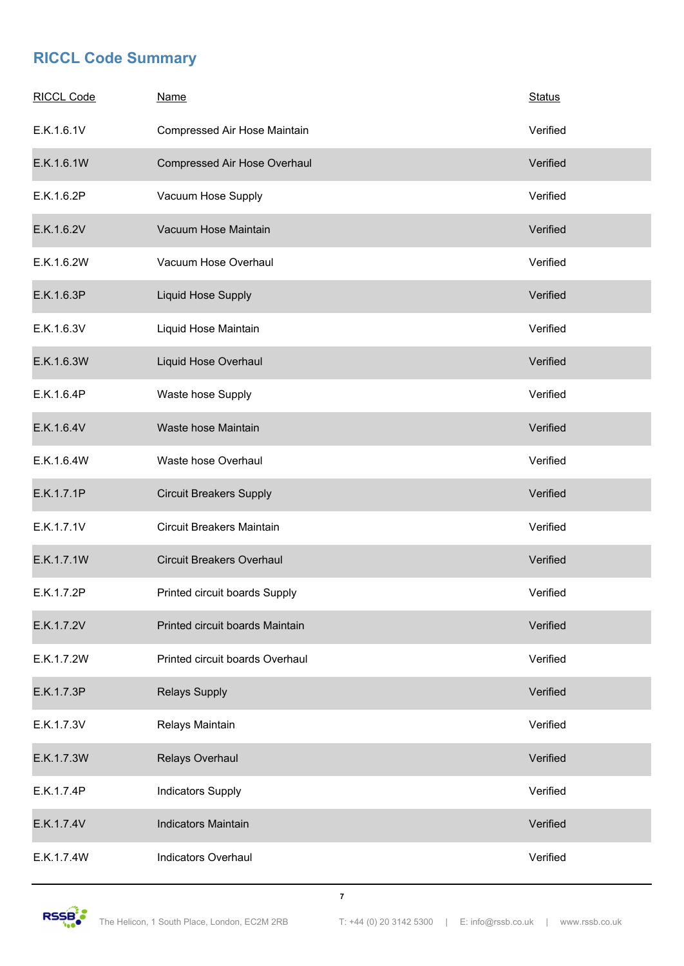| <b>RICCL Code</b> | <b>Name</b>                      | <b>Status</b> |
|-------------------|----------------------------------|---------------|
| E.K.1.6.1V        | Compressed Air Hose Maintain     | Verified      |
| E.K.1.6.1W        | Compressed Air Hose Overhaul     | Verified      |
| E.K.1.6.2P        | Vacuum Hose Supply               | Verified      |
| E.K.1.6.2V        | Vacuum Hose Maintain             | Verified      |
| E.K.1.6.2W        | Vacuum Hose Overhaul             | Verified      |
| E.K.1.6.3P        | <b>Liquid Hose Supply</b>        | Verified      |
| E.K.1.6.3V        | Liquid Hose Maintain             | Verified      |
| E.K.1.6.3W        | Liquid Hose Overhaul             | Verified      |
| E.K.1.6.4P        | Waste hose Supply                | Verified      |
| E.K.1.6.4V        | Waste hose Maintain              | Verified      |
| E.K.1.6.4W        | Waste hose Overhaul              | Verified      |
| E.K.1.7.1P        | <b>Circuit Breakers Supply</b>   | Verified      |
| E.K.1.7.1V        | <b>Circuit Breakers Maintain</b> | Verified      |
| E.K.1.7.1W        | <b>Circuit Breakers Overhaul</b> | Verified      |
| E.K.1.7.2P        | Printed circuit boards Supply    | Verified      |
| E.K.1.7.2V        | Printed circuit boards Maintain  | Verified      |
| E.K.1.7.2W        | Printed circuit boards Overhaul  | Verified      |
| E.K.1.7.3P        | <b>Relays Supply</b>             | Verified      |
| E.K.1.7.3V        | Relays Maintain                  | Verified      |
| E.K.1.7.3W        | Relays Overhaul                  | Verified      |
| E.K.1.7.4P        | <b>Indicators Supply</b>         | Verified      |
| E.K.1.7.4V        | <b>Indicators Maintain</b>       | Verified      |
| E.K.1.7.4W        | <b>Indicators Overhaul</b>       | Verified      |

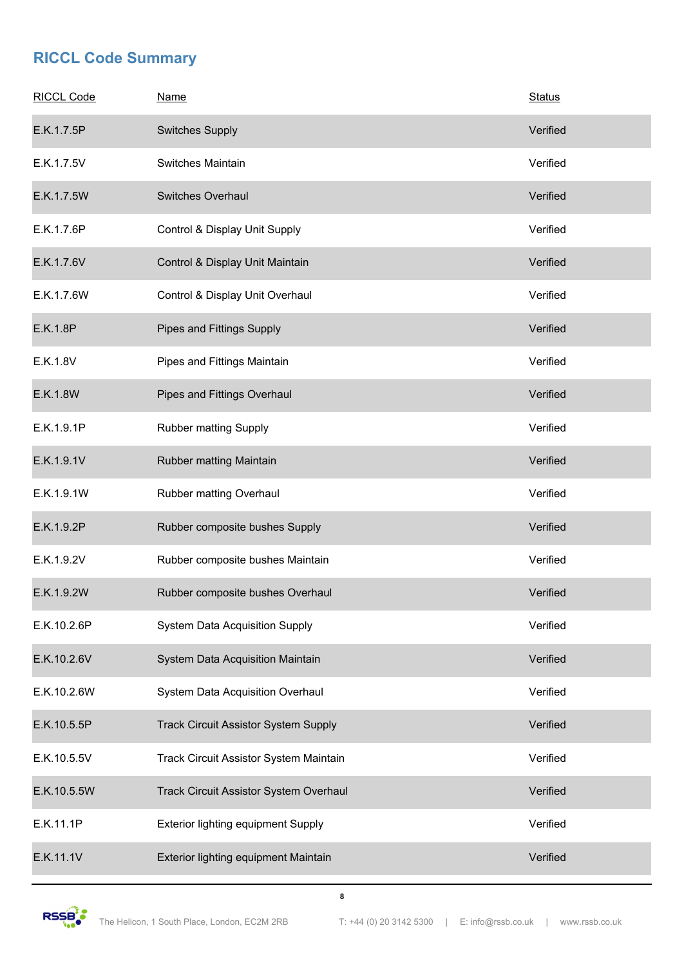| <b>RICCL Code</b> | <b>Name</b>                                 | <b>Status</b> |
|-------------------|---------------------------------------------|---------------|
| E.K.1.7.5P        | <b>Switches Supply</b>                      | Verified      |
| E.K.1.7.5V        | Switches Maintain                           | Verified      |
| E.K.1.7.5W        | <b>Switches Overhaul</b>                    | Verified      |
| E.K.1.7.6P        | Control & Display Unit Supply               | Verified      |
| E.K.1.7.6V        | Control & Display Unit Maintain             | Verified      |
| E.K.1.7.6W        | Control & Display Unit Overhaul             | Verified      |
| E.K.1.8P          | Pipes and Fittings Supply                   | Verified      |
| E.K.1.8V          | Pipes and Fittings Maintain                 | Verified      |
| E.K.1.8W          | Pipes and Fittings Overhaul                 | Verified      |
| E.K.1.9.1P        | Rubber matting Supply                       | Verified      |
| E.K.1.9.1V        | Rubber matting Maintain                     | Verified      |
| E.K.1.9.1W        | Rubber matting Overhaul                     | Verified      |
| E.K.1.9.2P        | Rubber composite bushes Supply              | Verified      |
| E.K.1.9.2V        | Rubber composite bushes Maintain            | Verified      |
| E.K.1.9.2W        | Rubber composite bushes Overhaul            | Verified      |
| E.K.10.2.6P       | <b>System Data Acquisition Supply</b>       | Verified      |
| E.K.10.2.6V       | System Data Acquisition Maintain            | Verified      |
| E.K.10.2.6W       | <b>System Data Acquisition Overhaul</b>     | Verified      |
| E.K.10.5.5P       | <b>Track Circuit Assistor System Supply</b> | Verified      |
| E.K.10.5.5V       | Track Circuit Assistor System Maintain      | Verified      |
| E.K.10.5.5W       | Track Circuit Assistor System Overhaul      | Verified      |
| E.K.11.1P         | Exterior lighting equipment Supply          | Verified      |
| E.K.11.1V         | Exterior lighting equipment Maintain        | Verified      |

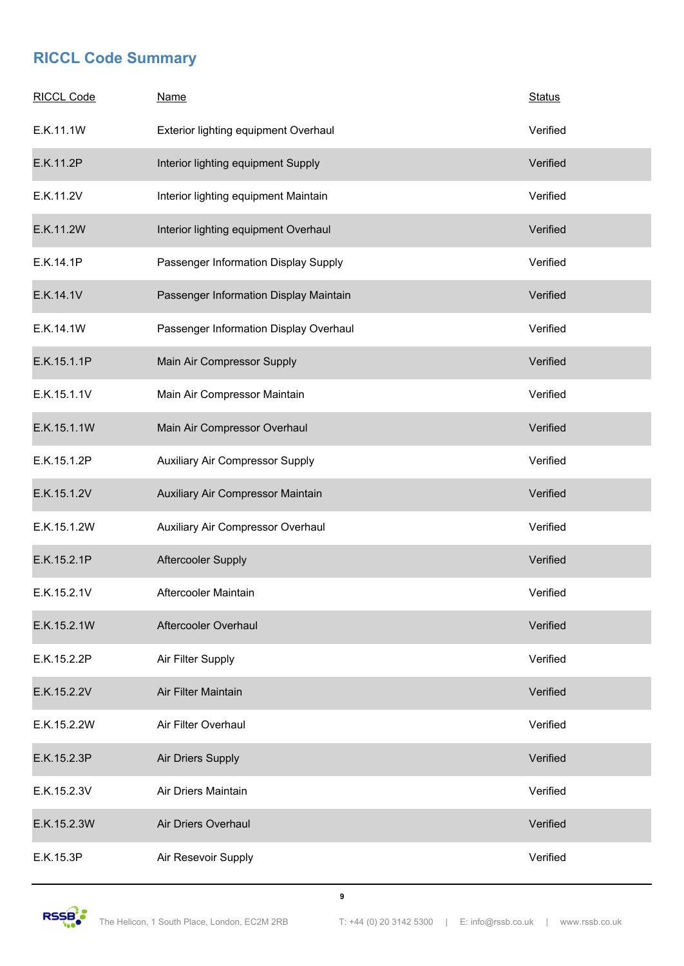| <b>RICCL Code</b> | <b>Name</b>                            | <b>Status</b> |
|-------------------|----------------------------------------|---------------|
| E.K.11.1W         | Exterior lighting equipment Overhaul   | Verified      |
| E.K.11.2P         | Interior lighting equipment Supply     | Verified      |
| E.K.11.2V         | Interior lighting equipment Maintain   | Verified      |
| E.K.11.2W         | Interior lighting equipment Overhaul   | Verified      |
| E.K.14.1P         | Passenger Information Display Supply   | Verified      |
| E.K.14.1V         | Passenger Information Display Maintain | Verified      |
| E.K.14.1W         | Passenger Information Display Overhaul | Verified      |
| E.K.15.1.1P       | Main Air Compressor Supply             | Verified      |
| E.K.15.1.1V       | Main Air Compressor Maintain           | Verified      |
| E.K.15.1.1W       | Main Air Compressor Overhaul           | Verified      |
| E.K.15.1.2P       | Auxiliary Air Compressor Supply        | Verified      |
| E.K.15.1.2V       | Auxiliary Air Compressor Maintain      | Verified      |
| E.K.15.1.2W       | Auxiliary Air Compressor Overhaul      | Verified      |
| E.K.15.2.1P       | Aftercooler Supply                     | Verified      |
| E.K.15.2.1V       | Aftercooler Maintain                   | Verified      |
| E.K.15.2.1W       | Aftercooler Overhaul                   | Verified      |
| E.K.15.2.2P       | Air Filter Supply                      | Verified      |
| E.K.15.2.2V       | Air Filter Maintain                    | Verified      |
| E.K.15.2.2W       | Air Filter Overhaul                    | Verified      |
| E.K.15.2.3P       | Air Driers Supply                      | Verified      |
| E.K.15.2.3V       | Air Driers Maintain                    | Verified      |
| E.K.15.2.3W       | Air Driers Overhaul                    | Verified      |
| E.K.15.3P         | Air Resevoir Supply                    | Verified      |

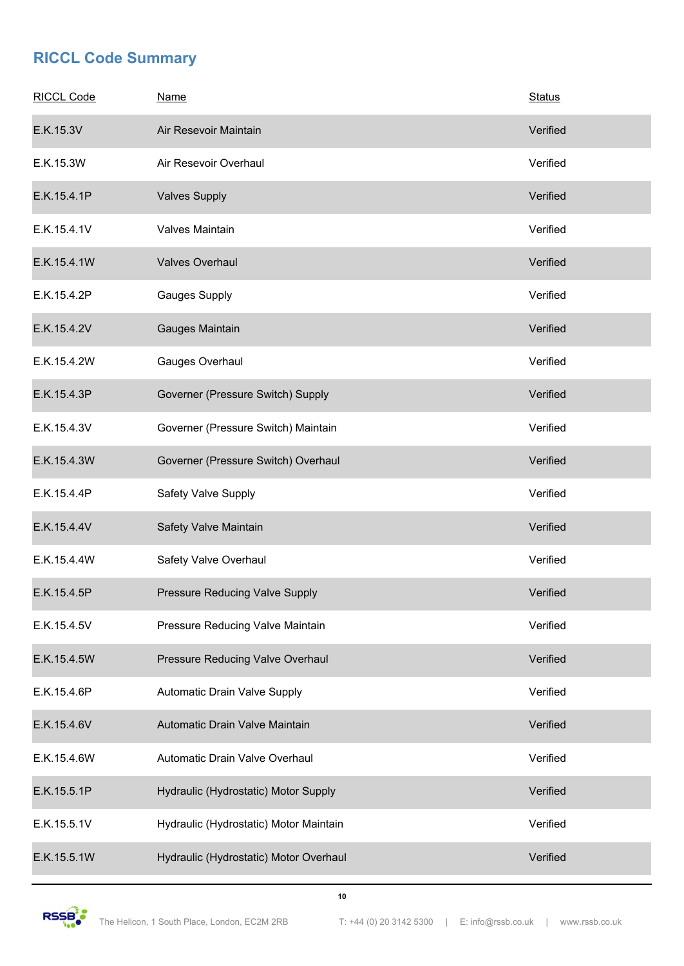| <b>RICCL Code</b> | <b>Name</b>                            | <b>Status</b> |
|-------------------|----------------------------------------|---------------|
| E.K.15.3V         | Air Resevoir Maintain                  | Verified      |
| E.K.15.3W         | Air Resevoir Overhaul                  | Verified      |
| E.K.15.4.1P       | <b>Valves Supply</b>                   | Verified      |
| E.K.15.4.1V       | Valves Maintain                        | Verified      |
| E.K.15.4.1W       | <b>Valves Overhaul</b>                 | Verified      |
| E.K.15.4.2P       | <b>Gauges Supply</b>                   | Verified      |
| E.K.15.4.2V       | Gauges Maintain                        | Verified      |
| E.K.15.4.2W       | Gauges Overhaul                        | Verified      |
| E.K.15.4.3P       | Governer (Pressure Switch) Supply      | Verified      |
| E.K.15.4.3V       | Governer (Pressure Switch) Maintain    | Verified      |
| E.K.15.4.3W       | Governer (Pressure Switch) Overhaul    | Verified      |
| E.K.15.4.4P       | Safety Valve Supply                    | Verified      |
| E.K.15.4.4V       | Safety Valve Maintain                  | Verified      |
| E.K.15.4.4W       | Safety Valve Overhaul                  | Verified      |
| E.K.15.4.5P       | <b>Pressure Reducing Valve Supply</b>  | Verified      |
| E.K.15.4.5V       | Pressure Reducing Valve Maintain       | Verified      |
| E.K.15.4.5W       | Pressure Reducing Valve Overhaul       | Verified      |
| E.K.15.4.6P       | Automatic Drain Valve Supply           | Verified      |
| E.K.15.4.6V       | Automatic Drain Valve Maintain         | Verified      |
| E.K.15.4.6W       | Automatic Drain Valve Overhaul         | Verified      |
| E.K.15.5.1P       | Hydraulic (Hydrostatic) Motor Supply   | Verified      |
| E.K.15.5.1V       | Hydraulic (Hydrostatic) Motor Maintain | Verified      |
| E.K.15.5.1W       | Hydraulic (Hydrostatic) Motor Overhaul | Verified      |

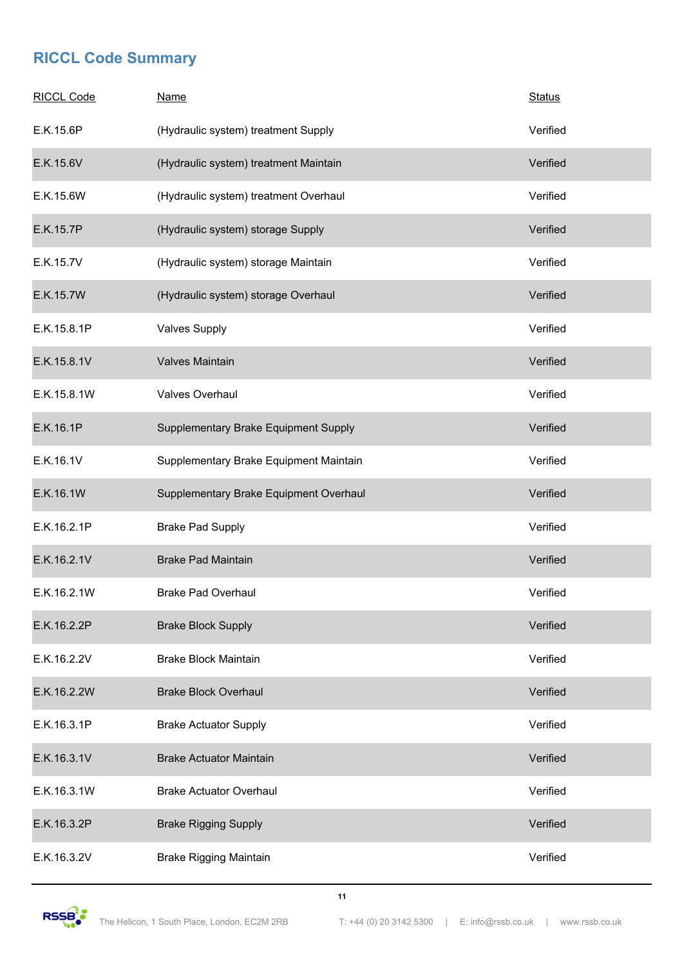| <b>RICCL Code</b> | <b>Name</b>                            | <b>Status</b> |
|-------------------|----------------------------------------|---------------|
| E.K.15.6P         | (Hydraulic system) treatment Supply    | Verified      |
| E.K.15.6V         | (Hydraulic system) treatment Maintain  | Verified      |
| E.K.15.6W         | (Hydraulic system) treatment Overhaul  | Verified      |
| E.K.15.7P         | (Hydraulic system) storage Supply      | Verified      |
| E.K.15.7V         | (Hydraulic system) storage Maintain    | Verified      |
| E.K.15.7W         | (Hydraulic system) storage Overhaul    | Verified      |
| E.K.15.8.1P       | <b>Valves Supply</b>                   | Verified      |
| E.K.15.8.1V       | Valves Maintain                        | Verified      |
| E.K.15.8.1W       | Valves Overhaul                        | Verified      |
| E.K.16.1P         | Supplementary Brake Equipment Supply   | Verified      |
| E.K.16.1V         | Supplementary Brake Equipment Maintain | Verified      |
| E.K.16.1W         | Supplementary Brake Equipment Overhaul | Verified      |
| E.K.16.2.1P       | <b>Brake Pad Supply</b>                | Verified      |
| E.K.16.2.1V       | <b>Brake Pad Maintain</b>              | Verified      |
| E.K.16.2.1W       | <b>Brake Pad Overhaul</b>              | Verified      |
| E.K.16.2.2P       | <b>Brake Block Supply</b>              | Verified      |
| E.K.16.2.2V       | <b>Brake Block Maintain</b>            | Verified      |
| E.K.16.2.2W       | <b>Brake Block Overhaul</b>            | Verified      |
| E.K.16.3.1P       | <b>Brake Actuator Supply</b>           | Verified      |
| E.K.16.3.1V       | <b>Brake Actuator Maintain</b>         | Verified      |
| E.K.16.3.1W       | <b>Brake Actuator Overhaul</b>         | Verified      |
| E.K.16.3.2P       | <b>Brake Rigging Supply</b>            | Verified      |
| E.K.16.3.2V       | <b>Brake Rigging Maintain</b>          | Verified      |

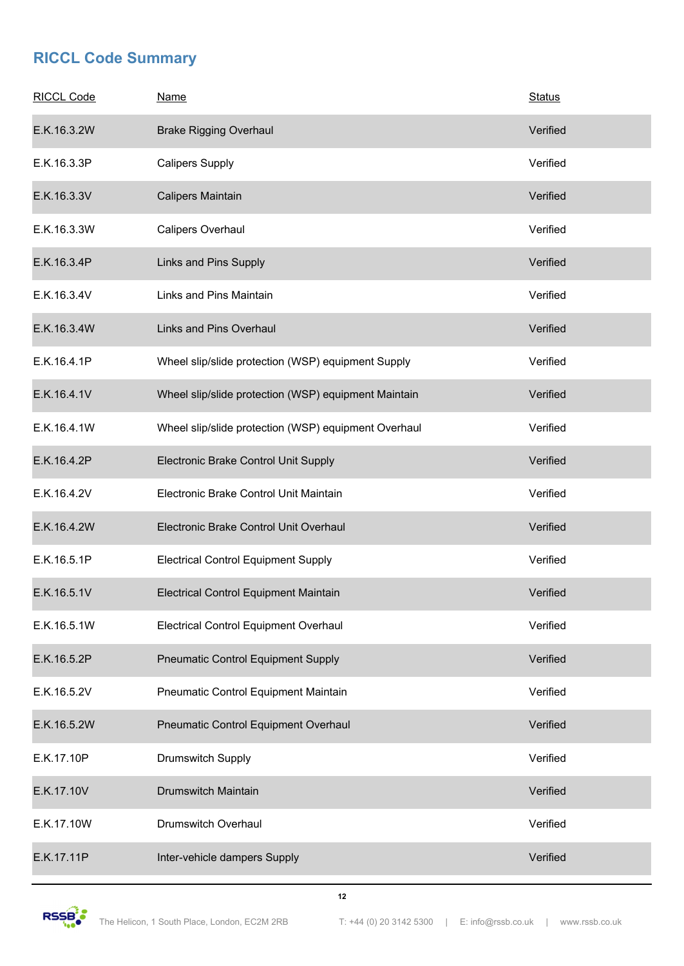| <b>RICCL Code</b> | <b>Name</b>                                          | <b>Status</b> |
|-------------------|------------------------------------------------------|---------------|
| E.K.16.3.2W       | <b>Brake Rigging Overhaul</b>                        | Verified      |
| E.K.16.3.3P       | <b>Calipers Supply</b>                               | Verified      |
| E.K.16.3.3V       | Calipers Maintain                                    | Verified      |
| E.K.16.3.3W       | Calipers Overhaul                                    | Verified      |
| E.K.16.3.4P       | Links and Pins Supply                                | Verified      |
| E.K.16.3.4V       | Links and Pins Maintain                              | Verified      |
| E.K.16.3.4W       | Links and Pins Overhaul                              | Verified      |
| E.K.16.4.1P       | Wheel slip/slide protection (WSP) equipment Supply   | Verified      |
| E.K.16.4.1V       | Wheel slip/slide protection (WSP) equipment Maintain | Verified      |
| E.K.16.4.1W       | Wheel slip/slide protection (WSP) equipment Overhaul | Verified      |
| E.K.16.4.2P       | Electronic Brake Control Unit Supply                 | Verified      |
| E.K.16.4.2V       | Electronic Brake Control Unit Maintain               | Verified      |
| E.K.16.4.2W       | Electronic Brake Control Unit Overhaul               | Verified      |
| E.K.16.5.1P       | <b>Electrical Control Equipment Supply</b>           | Verified      |
| E.K.16.5.1V       | Electrical Control Equipment Maintain                | Verified      |
| E.K.16.5.1W       | Electrical Control Equipment Overhaul                | Verified      |
| E.K.16.5.2P       | <b>Pneumatic Control Equipment Supply</b>            | Verified      |
| E.K.16.5.2V       | Pneumatic Control Equipment Maintain                 | Verified      |
| E.K.16.5.2W       | Pneumatic Control Equipment Overhaul                 | Verified      |
| E.K.17.10P        | Drumswitch Supply                                    | Verified      |
| E.K.17.10V        | Drumswitch Maintain                                  | Verified      |
| E.K.17.10W        | Drumswitch Overhaul                                  | Verified      |
| E.K.17.11P        | Inter-vehicle dampers Supply                         | Verified      |

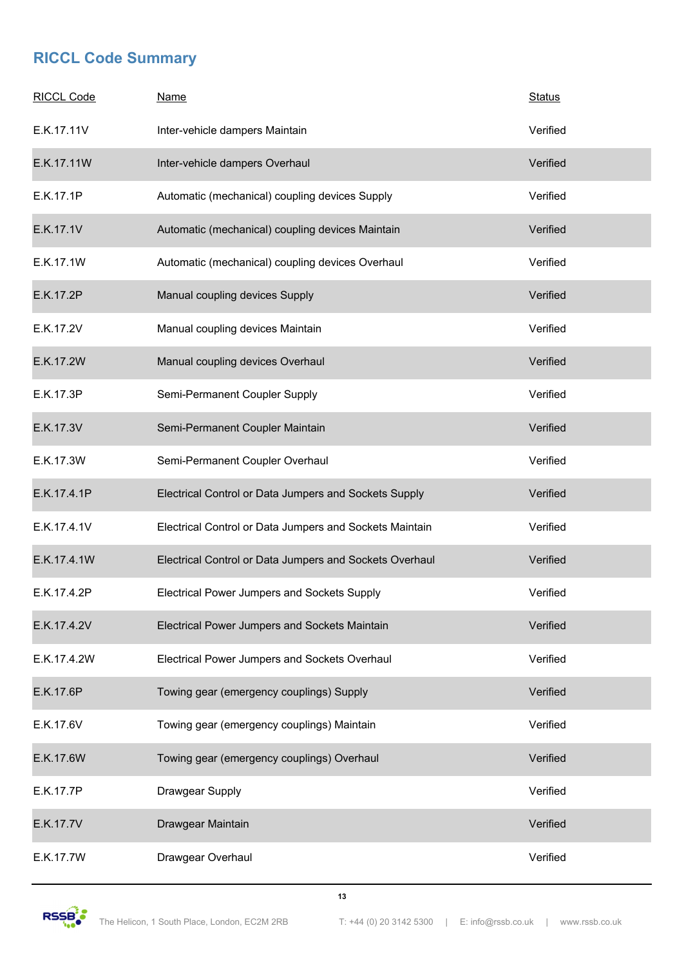| <b>RICCL Code</b> | <b>Name</b>                                             | <b>Status</b> |
|-------------------|---------------------------------------------------------|---------------|
| E.K.17.11V        | Inter-vehicle dampers Maintain                          | Verified      |
| E.K.17.11W        | Inter-vehicle dampers Overhaul                          | Verified      |
| E.K.17.1P         | Automatic (mechanical) coupling devices Supply          | Verified      |
| E.K.17.1V         | Automatic (mechanical) coupling devices Maintain        | Verified      |
| E.K.17.1W         | Automatic (mechanical) coupling devices Overhaul        | Verified      |
| E.K.17.2P         | Manual coupling devices Supply                          | Verified      |
| E.K.17.2V         | Manual coupling devices Maintain                        | Verified      |
| E.K.17.2W         | Manual coupling devices Overhaul                        | Verified      |
| E.K.17.3P         | Semi-Permanent Coupler Supply                           | Verified      |
| E.K.17.3V         | Semi-Permanent Coupler Maintain                         | Verified      |
| E.K.17.3W         | Semi-Permanent Coupler Overhaul                         | Verified      |
| E.K.17.4.1P       | Electrical Control or Data Jumpers and Sockets Supply   | Verified      |
| E.K.17.4.1V       | Electrical Control or Data Jumpers and Sockets Maintain | Verified      |
| E.K.17.4.1W       | Electrical Control or Data Jumpers and Sockets Overhaul | Verified      |
| E.K.17.4.2P       | Electrical Power Jumpers and Sockets Supply             | Verified      |
| E.K.17.4.2V       | Electrical Power Jumpers and Sockets Maintain           | Verified      |
| E.K.17.4.2W       | Electrical Power Jumpers and Sockets Overhaul           | Verified      |
| E.K.17.6P         | Towing gear (emergency couplings) Supply                | Verified      |
| E.K.17.6V         | Towing gear (emergency couplings) Maintain              | Verified      |
| E.K.17.6W         | Towing gear (emergency couplings) Overhaul              | Verified      |
| E.K.17.7P         | Drawgear Supply                                         | Verified      |
| E.K.17.7V         | Drawgear Maintain                                       | Verified      |
| E.K.17.7W         | Drawgear Overhaul                                       | Verified      |

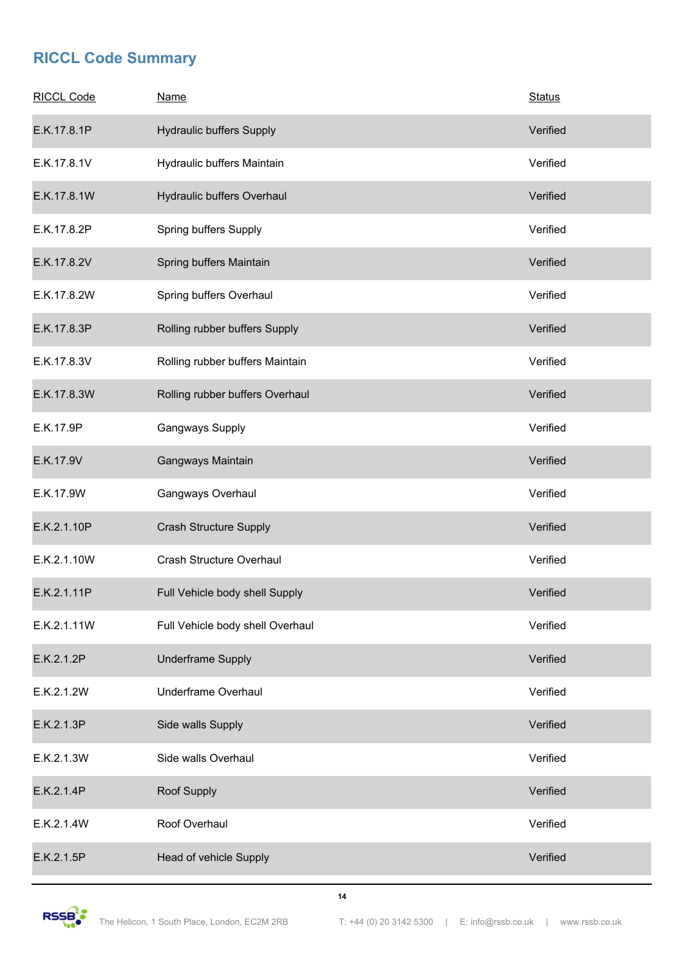| <b>RICCL Code</b> | <b>Name</b>                      | <b>Status</b> |
|-------------------|----------------------------------|---------------|
| E.K.17.8.1P       | <b>Hydraulic buffers Supply</b>  | Verified      |
| E.K.17.8.1V       | Hydraulic buffers Maintain       | Verified      |
| E.K.17.8.1W       | Hydraulic buffers Overhaul       | Verified      |
| E.K.17.8.2P       | Spring buffers Supply            | Verified      |
| E.K.17.8.2V       | Spring buffers Maintain          | Verified      |
| E.K.17.8.2W       | Spring buffers Overhaul          | Verified      |
| E.K.17.8.3P       | Rolling rubber buffers Supply    | Verified      |
| E.K.17.8.3V       | Rolling rubber buffers Maintain  | Verified      |
| E.K.17.8.3W       | Rolling rubber buffers Overhaul  | Verified      |
| E.K.17.9P         | Gangways Supply                  | Verified      |
| E.K.17.9V         | Gangways Maintain                | Verified      |
| E.K.17.9W         | Gangways Overhaul                | Verified      |
| E.K.2.1.10P       | <b>Crash Structure Supply</b>    | Verified      |
| E.K.2.1.10W       | Crash Structure Overhaul         | Verified      |
| E.K.2.1.11P       | Full Vehicle body shell Supply   | Verified      |
| E.K.2.1.11W       | Full Vehicle body shell Overhaul | Verified      |
| E.K.2.1.2P        | <b>Underframe Supply</b>         | Verified      |
| E.K.2.1.2W        | <b>Underframe Overhaul</b>       | Verified      |
| E.K.2.1.3P        | Side walls Supply                | Verified      |
| E.K.2.1.3W        | Side walls Overhaul              | Verified      |
| E.K.2.1.4P        | Roof Supply                      | Verified      |
| E.K.2.1.4W        | Roof Overhaul                    | Verified      |
| E.K.2.1.5P        | Head of vehicle Supply           | Verified      |

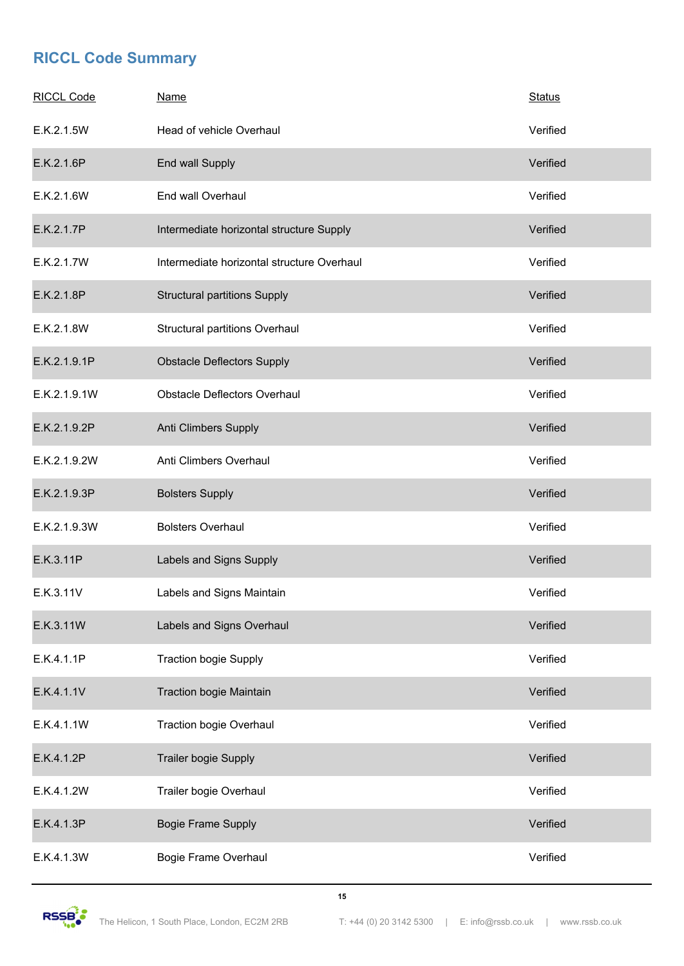| <b>RICCL Code</b> | <b>Name</b>                                | <b>Status</b> |
|-------------------|--------------------------------------------|---------------|
| E.K.2.1.5W        | Head of vehicle Overhaul                   | Verified      |
| E.K.2.1.6P        | End wall Supply                            | Verified      |
| E.K.2.1.6W        | End wall Overhaul                          | Verified      |
| E.K.2.1.7P        | Intermediate horizontal structure Supply   | Verified      |
| E.K.2.1.7W        | Intermediate horizontal structure Overhaul | Verified      |
| E.K.2.1.8P        | <b>Structural partitions Supply</b>        | Verified      |
| E.K.2.1.8W        | Structural partitions Overhaul             | Verified      |
| E.K.2.1.9.1P      | <b>Obstacle Deflectors Supply</b>          | Verified      |
| E.K.2.1.9.1W      | <b>Obstacle Deflectors Overhaul</b>        | Verified      |
| E.K.2.1.9.2P      | Anti Climbers Supply                       | Verified      |
| E.K.2.1.9.2W      | Anti Climbers Overhaul                     | Verified      |
| E.K.2.1.9.3P      | <b>Bolsters Supply</b>                     | Verified      |
| E.K.2.1.9.3W      | <b>Bolsters Overhaul</b>                   | Verified      |
| E.K.3.11P         | Labels and Signs Supply                    | Verified      |
| E.K.3.11V         | Labels and Signs Maintain                  | Verified      |
| E.K.3.11W         | Labels and Signs Overhaul                  | Verified      |
| E.K.4.1.1P        | <b>Traction bogie Supply</b>               | Verified      |
| E.K.4.1.1V        | Traction bogie Maintain                    | Verified      |
| E.K.4.1.1W        | <b>Traction bogie Overhaul</b>             | Verified      |
| E.K.4.1.2P        | Trailer bogie Supply                       | Verified      |
| E.K.4.1.2W        | Trailer bogie Overhaul                     | Verified      |
| E.K.4.1.3P        | <b>Bogie Frame Supply</b>                  | Verified      |
| E.K.4.1.3W        | Bogie Frame Overhaul                       | Verified      |

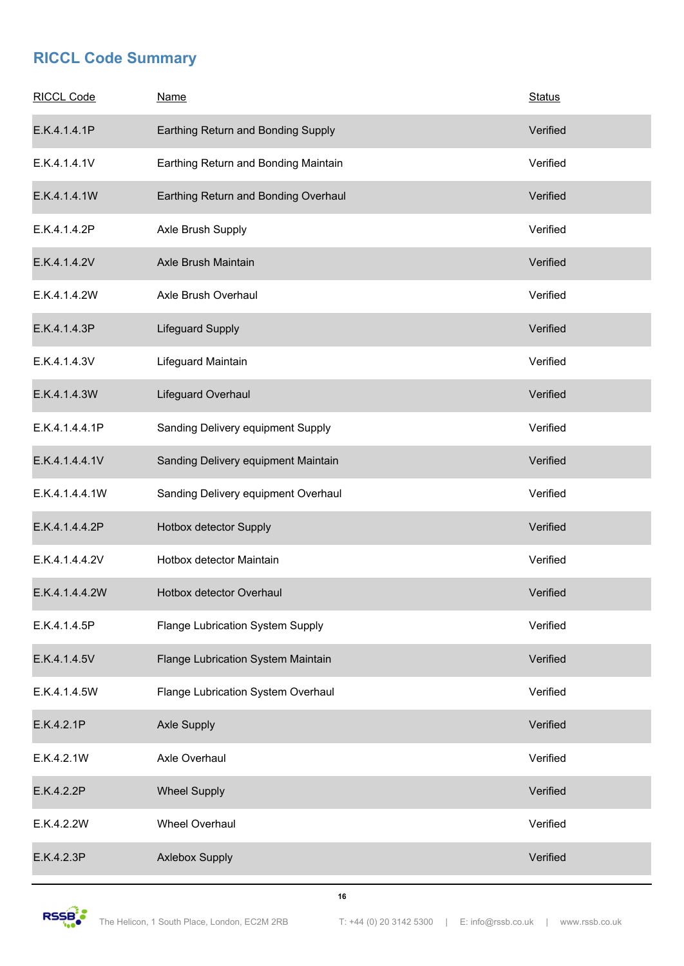| <b>RICCL Code</b> | <b>Name</b>                          | <b>Status</b> |
|-------------------|--------------------------------------|---------------|
| E.K.4.1.4.1P      | Earthing Return and Bonding Supply   | Verified      |
| E.K.4.1.4.1V      | Earthing Return and Bonding Maintain | Verified      |
| E.K.4.1.4.1W      | Earthing Return and Bonding Overhaul | Verified      |
| E.K.4.1.4.2P      | Axle Brush Supply                    | Verified      |
| E.K.4.1.4.2V      | Axle Brush Maintain                  | Verified      |
| E.K.4.1.4.2W      | Axle Brush Overhaul                  | Verified      |
| E.K.4.1.4.3P      | Lifeguard Supply                     | Verified      |
| E.K.4.1.4.3V      | Lifeguard Maintain                   | Verified      |
| E.K.4.1.4.3W      | Lifeguard Overhaul                   | Verified      |
| E.K.4.1.4.4.1P    | Sanding Delivery equipment Supply    | Verified      |
| E.K.4.1.4.4.1V    | Sanding Delivery equipment Maintain  | Verified      |
| E.K.4.1.4.4.1W    | Sanding Delivery equipment Overhaul  | Verified      |
| E.K.4.1.4.4.2P    | Hotbox detector Supply               | Verified      |
| E.K.4.1.4.4.2V    | Hotbox detector Maintain             | Verified      |
| E.K.4.1.4.4.2W    | Hotbox detector Overhaul             | Verified      |
| E.K.4.1.4.5P      | Flange Lubrication System Supply     | Verified      |
| E.K.4.1.4.5V      | Flange Lubrication System Maintain   | Verified      |
| E.K.4.1.4.5W      | Flange Lubrication System Overhaul   | Verified      |
| E.K.4.2.1P        | <b>Axle Supply</b>                   | Verified      |
| E.K.4.2.1W        | Axle Overhaul                        | Verified      |
| E.K.4.2.2P        | <b>Wheel Supply</b>                  | Verified      |
| E.K.4.2.2W        | Wheel Overhaul                       | Verified      |
| E.K.4.2.3P        | <b>Axlebox Supply</b>                | Verified      |

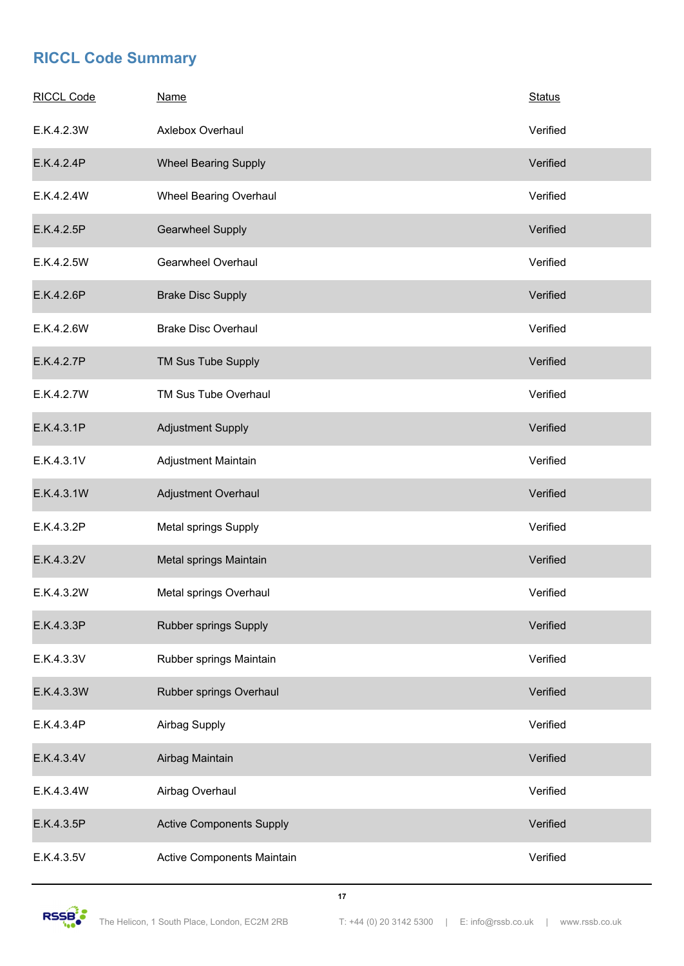| <b>RICCL Code</b> | <b>Name</b>                       | <b>Status</b> |
|-------------------|-----------------------------------|---------------|
| E.K.4.2.3W        | Axlebox Overhaul                  | Verified      |
| E.K.4.2.4P        | <b>Wheel Bearing Supply</b>       | Verified      |
| E.K.4.2.4W        | Wheel Bearing Overhaul            | Verified      |
| E.K.4.2.5P        | <b>Gearwheel Supply</b>           | Verified      |
| E.K.4.2.5W        | Gearwheel Overhaul                | Verified      |
| E.K.4.2.6P        | <b>Brake Disc Supply</b>          | Verified      |
| E.K.4.2.6W        | <b>Brake Disc Overhaul</b>        | Verified      |
| E.K.4.2.7P        | TM Sus Tube Supply                | Verified      |
| E.K.4.2.7W        | TM Sus Tube Overhaul              | Verified      |
| E.K.4.3.1P        | <b>Adjustment Supply</b>          | Verified      |
| E.K.4.3.1V        | Adjustment Maintain               | Verified      |
| E.K.4.3.1W        | Adjustment Overhaul               | Verified      |
| E.K.4.3.2P        | Metal springs Supply              | Verified      |
| E.K.4.3.2V        | Metal springs Maintain            | Verified      |
| E.K.4.3.2W        | Metal springs Overhaul            | Verified      |
| E.K.4.3.3P        | Rubber springs Supply             | Verified      |
| E.K.4.3.3V        | Rubber springs Maintain           | Verified      |
| E.K.4.3.3W        | Rubber springs Overhaul           | Verified      |
| E.K.4.3.4P        | Airbag Supply                     | Verified      |
| E.K.4.3.4V        | Airbag Maintain                   | Verified      |
| E.K.4.3.4W        | Airbag Overhaul                   | Verified      |
| E.K.4.3.5P        | <b>Active Components Supply</b>   | Verified      |
| E.K.4.3.5V        | <b>Active Components Maintain</b> | Verified      |

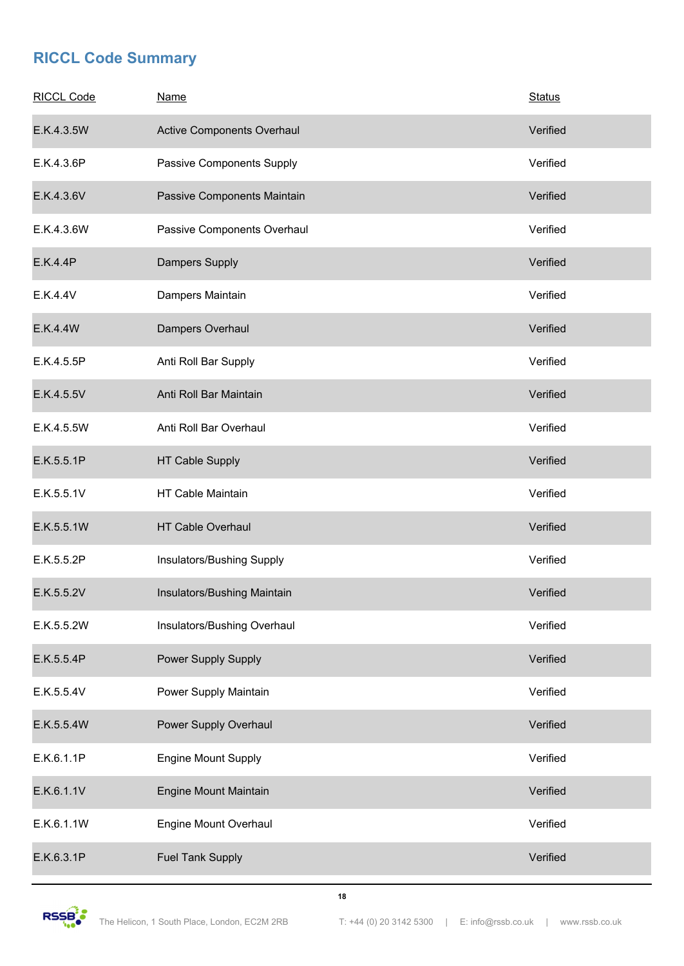| <b>RICCL Code</b> | <b>Name</b>                 | <b>Status</b> |
|-------------------|-----------------------------|---------------|
| E.K.4.3.5W        | Active Components Overhaul  | Verified      |
| E.K.4.3.6P        | Passive Components Supply   | Verified      |
| E.K.4.3.6V        | Passive Components Maintain | Verified      |
| E.K.4.3.6W        | Passive Components Overhaul | Verified      |
| E.K.4.4P          | Dampers Supply              | Verified      |
| E.K.4.4V          | Dampers Maintain            | Verified      |
| E.K.4.4W          | Dampers Overhaul            | Verified      |
| E.K.4.5.5P        | Anti Roll Bar Supply        | Verified      |
| E.K.4.5.5V        | Anti Roll Bar Maintain      | Verified      |
| E.K.4.5.5W        | Anti Roll Bar Overhaul      | Verified      |
| E.K.5.5.1P        | HT Cable Supply             | Verified      |
| E.K.5.5.1V        | HT Cable Maintain           | Verified      |
| E.K.5.5.1W        | <b>HT Cable Overhaul</b>    | Verified      |
| E.K.5.5.2P        | Insulators/Bushing Supply   | Verified      |
| E.K.5.5.2V        | Insulators/Bushing Maintain | Verified      |
| E.K.5.5.2W        | Insulators/Bushing Overhaul | Verified      |
| E.K.5.5.4P        | Power Supply Supply         | Verified      |
| E.K.5.5.4V        | Power Supply Maintain       | Verified      |
| E.K.5.5.4W        | Power Supply Overhaul       | Verified      |
| E.K.6.1.1P        | <b>Engine Mount Supply</b>  | Verified      |
| E.K.6.1.1V        | Engine Mount Maintain       | Verified      |
| E.K.6.1.1W        | Engine Mount Overhaul       | Verified      |
| E.K.6.3.1P        | <b>Fuel Tank Supply</b>     | Verified      |



**18**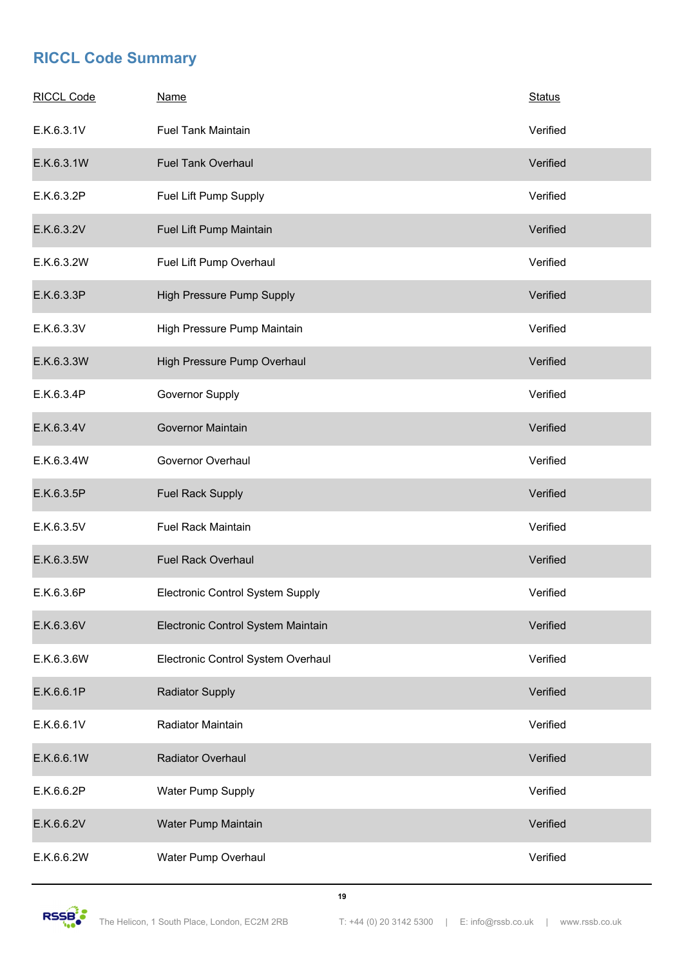| <b>RICCL Code</b> | <b>Name</b>                        | <b>Status</b> |
|-------------------|------------------------------------|---------------|
| E.K.6.3.1V        | <b>Fuel Tank Maintain</b>          | Verified      |
| E.K.6.3.1W        | <b>Fuel Tank Overhaul</b>          | Verified      |
| E.K.6.3.2P        | Fuel Lift Pump Supply              | Verified      |
| E.K.6.3.2V        | Fuel Lift Pump Maintain            | Verified      |
| E.K.6.3.2W        | Fuel Lift Pump Overhaul            | Verified      |
| E.K.6.3.3P        | High Pressure Pump Supply          | Verified      |
| E.K.6.3.3V        | High Pressure Pump Maintain        | Verified      |
| E.K.6.3.3W        | High Pressure Pump Overhaul        | Verified      |
| E.K.6.3.4P        | Governor Supply                    | Verified      |
| E.K.6.3.4V        | <b>Governor Maintain</b>           | Verified      |
| E.K.6.3.4W        | Governor Overhaul                  | Verified      |
| E.K.6.3.5P        | <b>Fuel Rack Supply</b>            | Verified      |
| E.K.6.3.5V        | <b>Fuel Rack Maintain</b>          | Verified      |
| E.K.6.3.5W        | <b>Fuel Rack Overhaul</b>          | Verified      |
| E.K.6.3.6P        | Electronic Control System Supply   | Verified      |
| E.K.6.3.6V        | Electronic Control System Maintain | Verified      |
| E.K.6.3.6W        | Electronic Control System Overhaul | Verified      |
| E.K.6.6.1P        | <b>Radiator Supply</b>             | Verified      |
| E.K.6.6.1V        | Radiator Maintain                  | Verified      |
| E.K.6.6.1W        | <b>Radiator Overhaul</b>           | Verified      |
| E.K.6.6.2P        | Water Pump Supply                  | Verified      |
| E.K.6.6.2V        | Water Pump Maintain                | Verified      |
| E.K.6.6.2W        | Water Pump Overhaul                | Verified      |

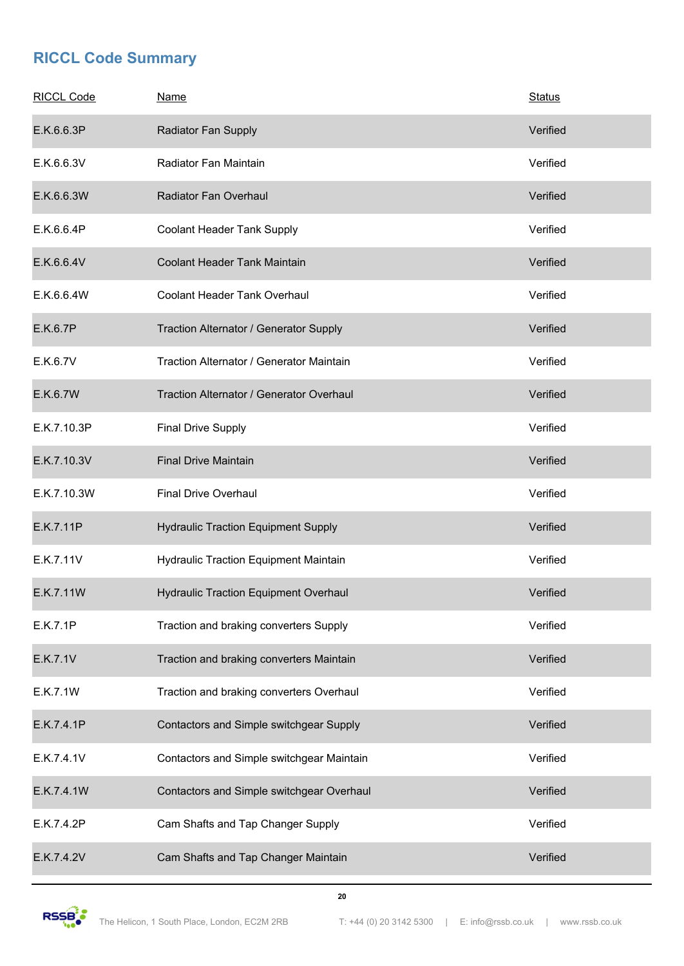| <b>RICCL Code</b> | <b>Name</b>                                  | <b>Status</b> |
|-------------------|----------------------------------------------|---------------|
| E.K.6.6.3P        | Radiator Fan Supply                          | Verified      |
| E.K.6.6.3V        | Radiator Fan Maintain                        | Verified      |
| E.K.6.6.3W        | Radiator Fan Overhaul                        | Verified      |
| E.K.6.6.4P        | Coolant Header Tank Supply                   | Verified      |
| E.K.6.6.4V        | <b>Coolant Header Tank Maintain</b>          | Verified      |
| E.K.6.6.4W        | Coolant Header Tank Overhaul                 | Verified      |
| E.K.6.7P          | Traction Alternator / Generator Supply       | Verified      |
| E.K.6.7V          | Traction Alternator / Generator Maintain     | Verified      |
| E.K.6.7W          | Traction Alternator / Generator Overhaul     | Verified      |
| E.K.7.10.3P       | <b>Final Drive Supply</b>                    | Verified      |
| E.K.7.10.3V       | <b>Final Drive Maintain</b>                  | Verified      |
| E.K.7.10.3W       | <b>Final Drive Overhaul</b>                  | Verified      |
| E.K.7.11P         | <b>Hydraulic Traction Equipment Supply</b>   | Verified      |
| E.K.7.11V         | Hydraulic Traction Equipment Maintain        | Verified      |
| E.K.7.11W         | <b>Hydraulic Traction Equipment Overhaul</b> | Verified      |
| E.K.7.1P          | Traction and braking converters Supply       | Verified      |
| E.K.7.1V          | Traction and braking converters Maintain     | Verified      |
| E.K.7.1W          | Traction and braking converters Overhaul     | Verified      |
| E.K.7.4.1P        | Contactors and Simple switchgear Supply      | Verified      |
| E.K.7.4.1V        | Contactors and Simple switchgear Maintain    | Verified      |
| E.K.7.4.1W        | Contactors and Simple switchgear Overhaul    | Verified      |
| E.K.7.4.2P        | Cam Shafts and Tap Changer Supply            | Verified      |
| E.K.7.4.2V        | Cam Shafts and Tap Changer Maintain          | Verified      |

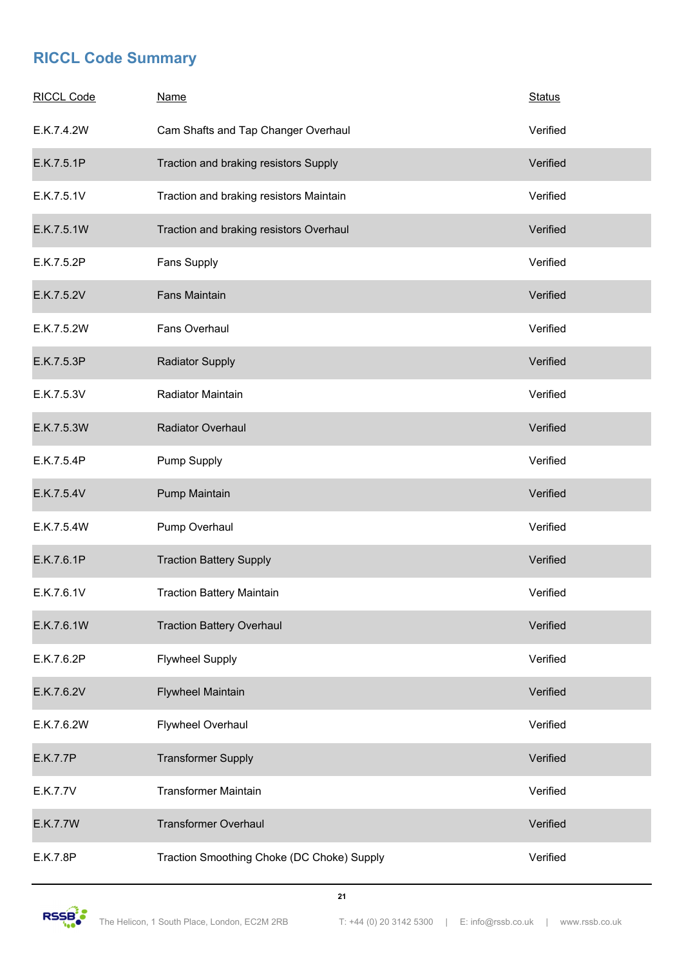| <b>RICCL Code</b> | <b>Name</b>                                | <b>Status</b> |
|-------------------|--------------------------------------------|---------------|
| E.K.7.4.2W        | Cam Shafts and Tap Changer Overhaul        | Verified      |
| E.K.7.5.1P        | Traction and braking resistors Supply      | Verified      |
| E.K.7.5.1V        | Traction and braking resistors Maintain    | Verified      |
| E.K.7.5.1W        | Traction and braking resistors Overhaul    | Verified      |
| E.K.7.5.2P        | Fans Supply                                | Verified      |
| E.K.7.5.2V        | <b>Fans Maintain</b>                       | Verified      |
| E.K.7.5.2W        | Fans Overhaul                              | Verified      |
| E.K.7.5.3P        | <b>Radiator Supply</b>                     | Verified      |
| E.K.7.5.3V        | Radiator Maintain                          | Verified      |
| E.K.7.5.3W        | Radiator Overhaul                          | Verified      |
| E.K.7.5.4P        | <b>Pump Supply</b>                         | Verified      |
| E.K.7.5.4V        | Pump Maintain                              | Verified      |
| E.K.7.5.4W        | Pump Overhaul                              | Verified      |
| E.K.7.6.1P        | <b>Traction Battery Supply</b>             | Verified      |
| E.K.7.6.1V        | <b>Traction Battery Maintain</b>           | Verified      |
| E.K.7.6.1W        | <b>Traction Battery Overhaul</b>           | Verified      |
| E.K.7.6.2P        | <b>Flywheel Supply</b>                     | Verified      |
| E.K.7.6.2V        | Flywheel Maintain                          | Verified      |
| E.K.7.6.2W        | Flywheel Overhaul                          | Verified      |
| E.K.7.7P          | <b>Transformer Supply</b>                  | Verified      |
| E.K.7.7V          | <b>Transformer Maintain</b>                | Verified      |
| E.K.7.7W          | <b>Transformer Overhaul</b>                | Verified      |
| E.K.7.8P          | Traction Smoothing Choke (DC Choke) Supply | Verified      |

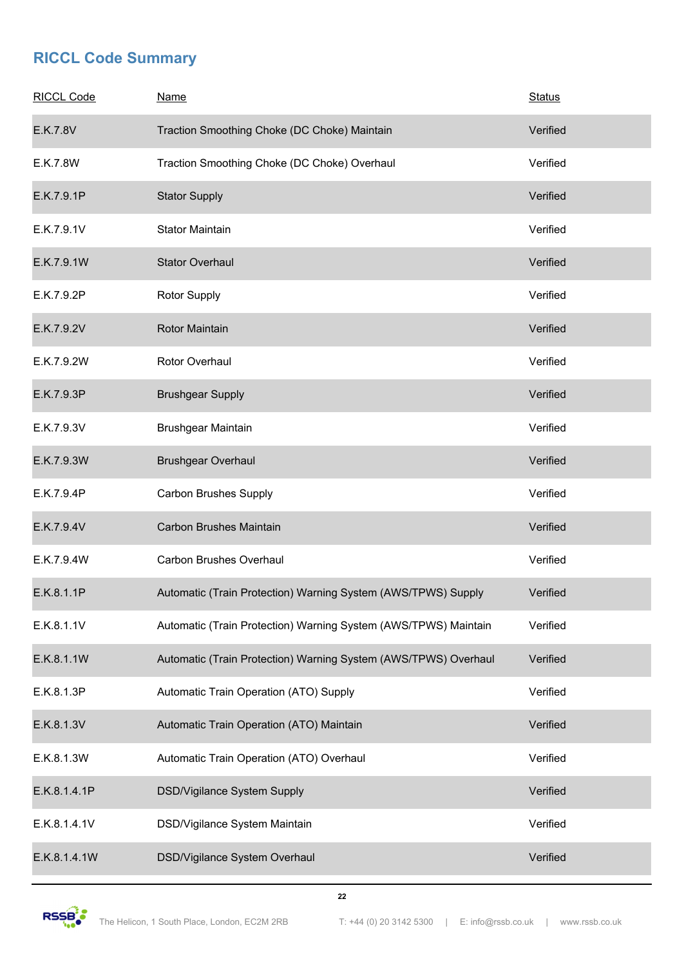| <b>RICCL Code</b> | <b>Name</b>                                                     | <b>Status</b> |
|-------------------|-----------------------------------------------------------------|---------------|
| E.K.7.8V          | Traction Smoothing Choke (DC Choke) Maintain                    | Verified      |
| E.K.7.8W          | Traction Smoothing Choke (DC Choke) Overhaul                    | Verified      |
| E.K.7.9.1P        | <b>Stator Supply</b>                                            | Verified      |
| E.K.7.9.1V        | <b>Stator Maintain</b>                                          | Verified      |
| E.K.7.9.1W        | <b>Stator Overhaul</b>                                          | Verified      |
| E.K.7.9.2P        | Rotor Supply                                                    | Verified      |
| E.K.7.9.2V        | Rotor Maintain                                                  | Verified      |
| E.K.7.9.2W        | Rotor Overhaul                                                  | Verified      |
| E.K.7.9.3P        | <b>Brushgear Supply</b>                                         | Verified      |
| E.K.7.9.3V        | Brushgear Maintain                                              | Verified      |
| E.K.7.9.3W        | <b>Brushgear Overhaul</b>                                       | Verified      |
| E.K.7.9.4P        | <b>Carbon Brushes Supply</b>                                    | Verified      |
| E.K.7.9.4V        | <b>Carbon Brushes Maintain</b>                                  | Verified      |
| E.K.7.9.4W        | <b>Carbon Brushes Overhaul</b>                                  | Verified      |
| E.K.8.1.1P        | Automatic (Train Protection) Warning System (AWS/TPWS) Supply   | Verified      |
| E.K.8.1.1V        | Automatic (Train Protection) Warning System (AWS/TPWS) Maintain | Verified      |
| E.K.8.1.1W        | Automatic (Train Protection) Warning System (AWS/TPWS) Overhaul | Verified      |
| E.K.8.1.3P        | Automatic Train Operation (ATO) Supply                          | Verified      |
| E.K.8.1.3V        | Automatic Train Operation (ATO) Maintain                        | Verified      |
| E.K.8.1.3W        | Automatic Train Operation (ATO) Overhaul                        | Verified      |
| E.K.8.1.4.1P      | DSD/Vigilance System Supply                                     | Verified      |
| E.K.8.1.4.1V      | DSD/Vigilance System Maintain                                   | Verified      |
| E.K.8.1.4.1W      | DSD/Vigilance System Overhaul                                   | Verified      |

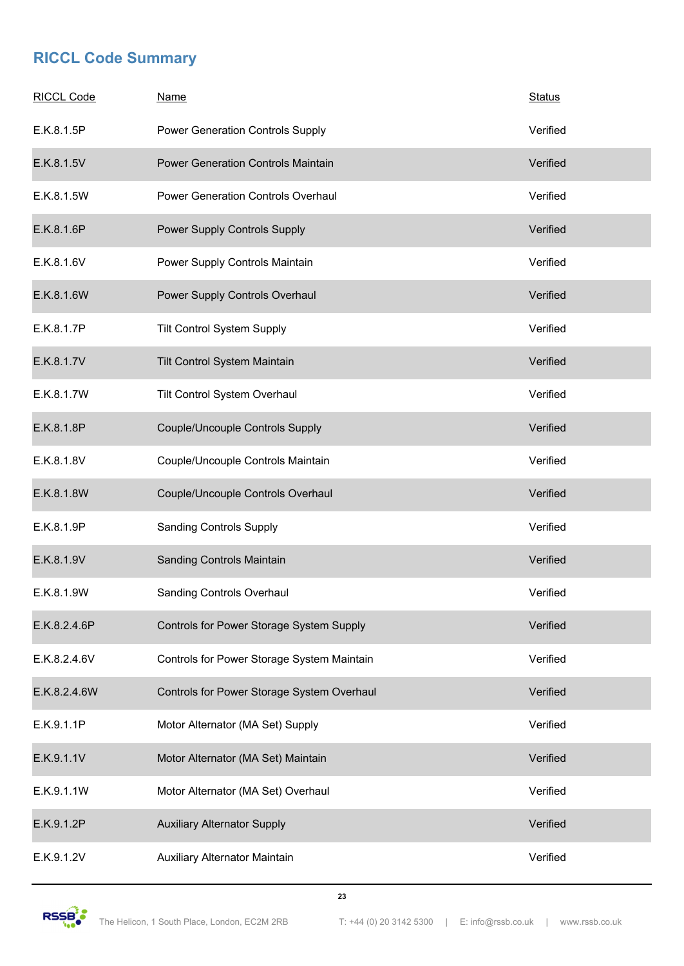| <b>RICCL Code</b> | <b>Name</b>                                | <b>Status</b> |
|-------------------|--------------------------------------------|---------------|
| E.K.8.1.5P        | Power Generation Controls Supply           | Verified      |
| E.K.8.1.5V        | <b>Power Generation Controls Maintain</b>  | Verified      |
| E.K.8.1.5W        | <b>Power Generation Controls Overhaul</b>  | Verified      |
| E.K.8.1.6P        | Power Supply Controls Supply               | Verified      |
| E.K.8.1.6V        | Power Supply Controls Maintain             | Verified      |
| E.K.8.1.6W        | Power Supply Controls Overhaul             | Verified      |
| E.K.8.1.7P        | <b>Tilt Control System Supply</b>          | Verified      |
| E.K.8.1.7V        | Tilt Control System Maintain               | Verified      |
| E.K.8.1.7W        | Tilt Control System Overhaul               | Verified      |
| E.K.8.1.8P        | Couple/Uncouple Controls Supply            | Verified      |
| E.K.8.1.8V        | Couple/Uncouple Controls Maintain          | Verified      |
| E.K.8.1.8W        | Couple/Uncouple Controls Overhaul          | Verified      |
| E.K.8.1.9P        | <b>Sanding Controls Supply</b>             | Verified      |
| E.K.8.1.9V        | Sanding Controls Maintain                  | Verified      |
| E.K.8.1.9W        | Sanding Controls Overhaul                  | Verified      |
| E.K.8.2.4.6P      | Controls for Power Storage System Supply   | Verified      |
| E.K.8.2.4.6V      | Controls for Power Storage System Maintain | Verified      |
| E.K.8.2.4.6W      | Controls for Power Storage System Overhaul | Verified      |
| E.K.9.1.1P        | Motor Alternator (MA Set) Supply           | Verified      |
| E.K.9.1.1V        | Motor Alternator (MA Set) Maintain         | Verified      |
| E.K.9.1.1W        | Motor Alternator (MA Set) Overhaul         | Verified      |
| E.K.9.1.2P        | <b>Auxiliary Alternator Supply</b>         | Verified      |
| E.K.9.1.2V        | Auxiliary Alternator Maintain              | Verified      |